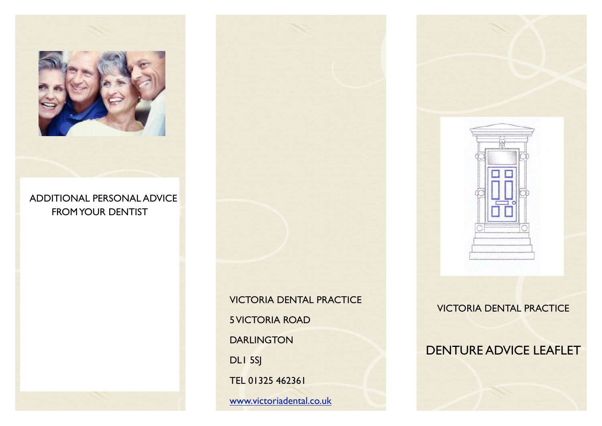

## ADDITIONAL PERSONAL ADVICE FROM YOUR DENTIST

VICTORIA DENTAL PRACTICE 5 VICTORIA ROAD DARLINGTON DLI 5SJ TEL 01325 462361

[www.victoriadental.co.uk](http://www.victoriadental.co.uk)



VICTORIA DENTAL PRACTICE

# DENTURE ADVICE LEAFLET